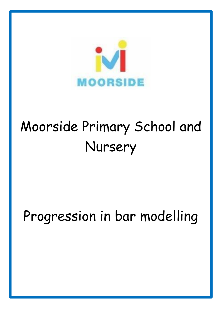

# Moorside Primary School and Nursery

# Progression in bar modelling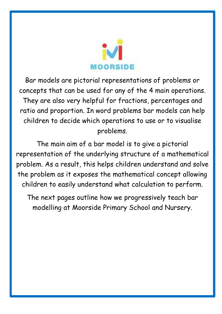

Bar models are pictorial representations of problems or concepts that can be used for any of the 4 main operations. They are also very helpful for fractions, percentages and ratio and proportion. In word problems bar models can help children to decide which operations to use or to visualise problems.

The main aim of a bar model is to give a pictorial representation of the underlying structure of a mathematical problem. As a result, this helps children understand and solve the problem as it exposes the mathematical concept allowing children to easily understand what calculation to perform.

The next pages outline how we progressively teach bar modelling at Moorside Primary School and Nursery.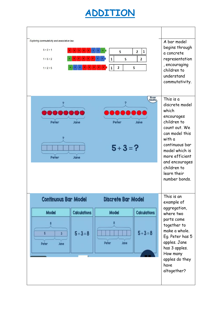#### **ADDITION**

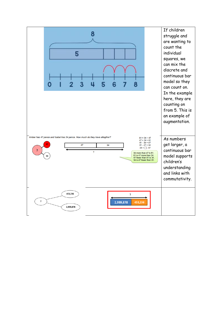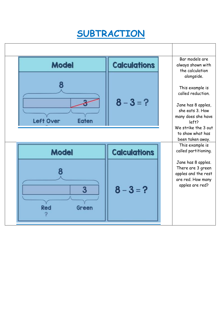# **SUBTRACTION**

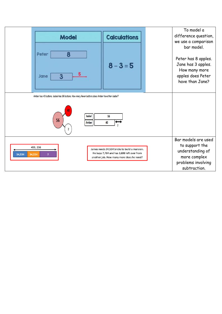| <b>Model</b>                                                                                                                                                            | <b>Calculations</b>                                                                                             | To model a<br>difference question,<br>we use a comparison                                                        |
|-------------------------------------------------------------------------------------------------------------------------------------------------------------------------|-----------------------------------------------------------------------------------------------------------------|------------------------------------------------------------------------------------------------------------------|
| 8<br>Peter<br>5<br>3<br>Jane                                                                                                                                            | $8 - 3 = 5$                                                                                                     | bar model.<br>Peter has 8 apples.<br>Jane has 3 apples.<br>How many more<br>apples does Peter<br>have than Jane? |
| Amber has 40 buttons. Isabel has 56 buttons. How many fewer buttons does Amber have than Isabel?<br>Isabel<br>99<br><b>Amber</b>                                        |                                                                                                                 |                                                                                                                  |
| 453, 236<br>James needs 34,534 bricks to build a mansion.<br>He buys 7,784 and has 3,698 left over from<br>34,534<br>34,534<br>another job. How many more does he need? | Bar models are used<br>to support the<br>understanding of<br>more complex<br>problems involving<br>subtraction. |                                                                                                                  |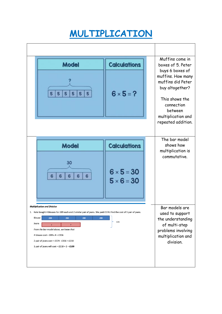## **MULTIPLICATION**